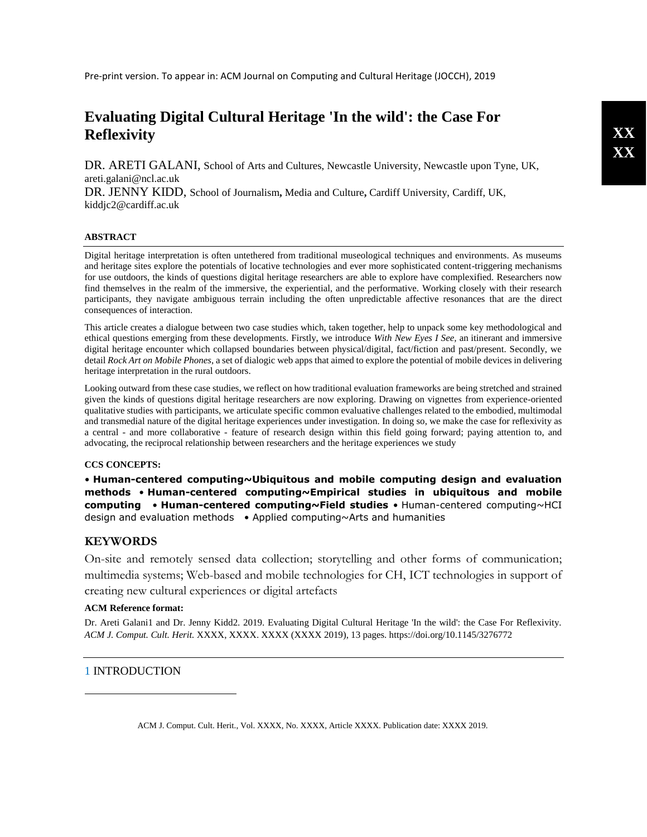# **Evaluating Digital Cultural Heritage 'In the wild': the Case For Reflexivity**

DR. ARETI GALANI, School of Arts and Cultures, Newcastle University, Newcastle upon Tyne, UK, [areti.galani@ncl.ac.uk](mailto:areti.galani@ncl.ac.uk)

DR. JENNY KIDD, School of Journalism**,** Media and Culture**,** Cardiff University, Cardiff, UK, [kiddjc2@cardiff.ac.uk](mailto:kiddjc2@cardiff.ac.uk)

## **ABSTRACT**

Digital heritage interpretation is often untethered from traditional museological techniques and environments. As museums and heritage sites explore the potentials of locative technologies and ever more sophisticated content-triggering mechanisms for use outdoors, the kinds of questions digital heritage researchers are able to explore have complexified. Researchers now find themselves in the realm of the immersive, the experiential, and the performative. Working closely with their research participants, they navigate ambiguous terrain including the often unpredictable affective resonances that are the direct consequences of interaction.

This article creates a dialogue between two case studies which, taken together, help to unpack some key methodological and ethical questions emerging from these developments. Firstly, we introduce *With New Eyes I See,* an itinerant and immersive digital heritage encounter which collapsed boundaries between physical/digital, fact/fiction and past/present. Secondly, we detail *Rock Art on Mobile Phones*, a set of dialogic web apps that aimed to explore the potential of mobile devices in delivering heritage interpretation in the rural outdoors.

Looking outward from these case studies, we reflect on how traditional evaluation frameworks are being stretched and strained given the kinds of questions digital heritage researchers are now exploring. Drawing on vignettes from experience-oriented qualitative studies with participants, we articulate specific common evaluative challenges related to the embodied, multimodal and transmedial nature of the digital heritage experiences under investigation. In doing so, we make the case for reflexivity as a central - and more collaborative - feature of research design within this field going forward; paying attention to, and advocating, the reciprocal relationship between researchers and the heritage experiences we study

## **CCS CONCEPTS:**

• **Human-centered computing~Ubiquitous and mobile computing design and evaluation methods** • **Human-centered computing~Empirical studies in ubiquitous and mobile computing** • **Human-centered computing~Field studies** • Human-centered computing~HCI design and evaluation methods • Applied computing~Arts and humanities

# **KEYWORDS**

On-site and remotely sensed data collection; storytelling and other forms of communication; multimedia systems; Web-based and mobile technologies for CH, ICT technologies in support of creating new cultural experiences or digital artefacts

## **ACM Reference format:**

Dr. Areti Galani1 and Dr. Jenny Kidd2. 2019. Evaluating Digital Cultural Heritage 'In the wild': the Case For Reflexivity. *ACM J. Comput. Cult. Herit.* XXXX, XXXX. XXXX (XXXX 2019), 13 pages. https://doi.org/10.1145/3276772

# 1 INTRODUCTION

 $\overline{a}$ 

ACM J. Comput. Cult. Herit., Vol. XXXX, No. XXXX, Article XXXX. Publication date: XXXX 2019.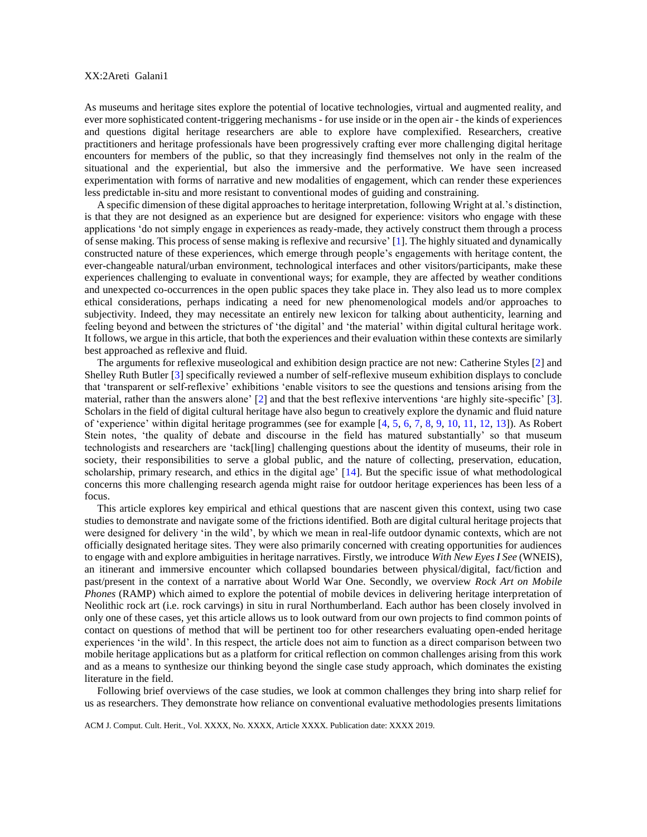As museums and heritage sites explore the potential of locative technologies, virtual and augmented reality, and ever more sophisticated content-triggering mechanisms - for use inside or in the open air - the kinds of experiences and questions digital heritage researchers are able to explore have complexified. Researchers, creative practitioners and heritage professionals have been progressively crafting ever more challenging digital heritage encounters for members of the public, so that they increasingly find themselves not only in the realm of the situational and the experiential, but also the immersive and the performative. We have seen increased experimentation with forms of narrative and new modalities of engagement, which can render these experiences less predictable in-situ and more resistant to conventional modes of guiding and constraining.

A specific dimension of these digital approaches to heritage interpretation, following Wright at al.'s distinction, is that they are not designed as an experience but are designed for experience: visitors who engage with these applications 'do not simply engage in experiences as ready-made, they actively construct them through a process of sense making. This process of sense making is reflexive and recursive' [\[1\]](#page-12-0). The highly situated and dynamically constructed nature of these experiences, which emerge through people's engagements with heritage content, the ever-changeable natural/urban environment, technological interfaces and other visitors/participants, make these experiences challenging to evaluate in conventional ways; for example, they are affected by weather conditions and unexpected co-occurrences in the open public spaces they take place in. They also lead us to more complex ethical considerations, perhaps indicating a need for new phenomenological models and/or approaches to subjectivity. Indeed, they may necessitate an entirely new lexicon for talking about authenticity, learning and feeling beyond and between the strictures of 'the digital' and 'the material' within digital cultural heritage work. It follows, we argue in this article, that both the experiences and their evaluation within these contexts are similarly best approached as reflexive and fluid.

The arguments for reflexive museological and exhibition design practice are not new: Catherine Styles [\[2\]](#page-12-1) and Shelley Ruth Butler [\[3\]](#page-12-2) specifically reviewed a number of self-reflexive museum exhibition displays to conclude that 'transparent or self-reflexive' exhibitions 'enable visitors to see the questions and tensions arising from the material, rather than the answers alone' [\[2\]](#page-12-1) and that the best reflexive interventions 'are highly site-specific' [\[3\]](#page-12-2). Scholars in the field of digital cultural heritage have also begun to creatively explore the dynamic and fluid nature of 'experience' within digital heritage programmes (see for example [\[4,](#page-12-3) [5,](#page-12-4) [6,](#page-13-0) [7,](#page-13-1) [8,](#page-13-2) [9,](#page-13-3) [10,](#page-13-4) [11,](#page-13-5) [12,](#page-13-6) [13\]](#page-13-7)). As Robert Stein notes, 'the quality of debate and discourse in the field has matured substantially' so that museum technologists and researchers are 'tack[ling] challenging questions about the identity of museums, their role in society, their responsibilities to serve a global public, and the nature of collecting, preservation, education, scholarship, primary research, and ethics in the digital age' [\[14\]](#page-13-8). But the specific issue of what methodological concerns this more challenging research agenda might raise for outdoor heritage experiences has been less of a focus.

This article explores key empirical and ethical questions that are nascent given this context, using two case studies to demonstrate and navigate some of the frictions identified. Both are digital cultural heritage projects that were designed for delivery 'in the wild', by which we mean in real-life outdoor dynamic contexts, which are not officially designated heritage sites. They were also primarily concerned with creating opportunities for audiences to engage with and explore ambiguities in heritage narratives. Firstly, we introduce *With New Eyes I See* (WNEIS), an itinerant and immersive encounter which collapsed boundaries between physical/digital, fact/fiction and past/present in the context of a narrative about World War One. Secondly, we overview *Rock Art on Mobile Phones* (RAMP) which aimed to explore the potential of mobile devices in delivering heritage interpretation of Neolithic rock art (i.e. rock carvings) in situ in rural Northumberland. Each author has been closely involved in only one of these cases, yet this article allows us to look outward from our own projects to find common points of contact on questions of method that will be pertinent too for other researchers evaluating open-ended heritage experiences 'in the wild'. In this respect, the article does not aim to function as a direct comparison between two mobile heritage applications but as a platform for critical reflection on common challenges arising from this work and as a means to synthesize our thinking beyond the single case study approach, which dominates the existing literature in the field.

Following brief overviews of the case studies, we look at common challenges they bring into sharp relief for us as researchers. They demonstrate how reliance on conventional evaluative methodologies presents limitations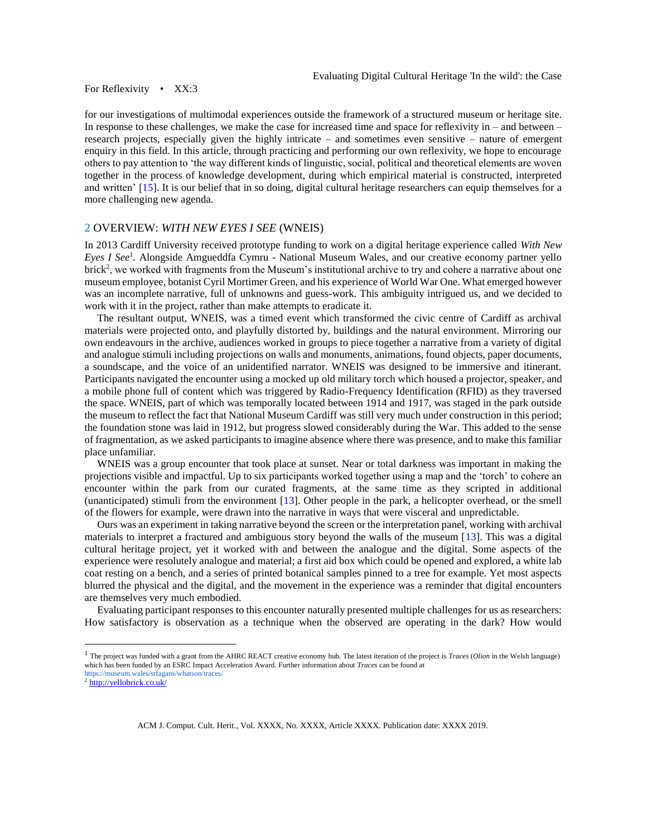for our investigations of multimodal experiences outside the framework of a structured museum or heritage site. In response to these challenges, we make the case for increased time and space for reflexivity in – and between – research projects, especially given the highly intricate – and sometimes even sensitive – nature of emergent enquiry in this field. In this article, through practicing and performing our own reflexivity, we hope to encourage others to pay attention to 'the way different kinds of linguistic, social, political and theoretical elements are woven together in the process of knowledge development, during which empirical material is constructed, interpreted and written' [\[15\]](#page-13-9). It is our belief that in so doing, digital cultural heritage researchers can equip themselves for a more challenging new agenda.

## 2 OVERVIEW: *WITH NEW EYES I SEE* (WNEIS)

In 2013 Cardiff University received prototype funding to work on a digital heritage experience called *With New Eyes I See*<sup>1</sup> *.* Alongside Amgueddfa Cymru - National Museum Wales, and our creative economy partner yello brick<sup>2</sup>, we worked with fragments from the Museum's institutional archive to try and cohere a narrative about one museum employee, botanist Cyril Mortimer Green, and his experience of World War One. What emerged however was an incomplete narrative, full of unknowns and guess-work. This ambiguity intrigued us, and we decided to work with it in the project, rather than make attempts to eradicate it.

The resultant output, WNEIS, was a timed event which transformed the civic centre of Cardiff as archival materials were projected onto, and playfully distorted by, buildings and the natural environment. Mirroring our own endeavours in the archive, audiences worked in groups to piece together a narrative from a variety of digital and analogue stimuli including projections on walls and monuments, animations, found objects, paper documents, a soundscape, and the voice of an unidentified narrator. WNEIS was designed to be immersive and itinerant. Participants navigated the encounter using a mocked up old military torch which housed a projector, speaker, and a mobile phone full of content which was triggered by Radio-Frequency Identification (RFID) as they traversed the space. WNEIS, part of which was temporally located between 1914 and 1917, was staged in the park outside the museum to reflect the fact that National Museum Cardiff was still very much under construction in this period; the foundation stone was laid in 1912, but progress slowed considerably during the War. This added to the sense of fragmentation, as we asked participants to imagine absence where there was presence, and to make this familiar place unfamiliar.

WNEIS was a group encounter that took place at sunset. Near or total darkness was important in making the projections visible and impactful. Up to six participants worked together using a map and the 'torch' to cohere an encounter within the park from our curated fragments, at the same time as they scripted in additional (unanticipated) stimuli from the environment [\[13\]](#page-13-7). Other people in the park, a helicopter overhead, or the smell of the flowers for example, were drawn into the narrative in ways that were visceral and unpredictable.

Ours was an experiment in taking narrative beyond the screen or the interpretation panel, working with archival materials to interpret a fractured and ambiguous story beyond the walls of the museum [\[13\]](#page-13-7). This was a digital cultural heritage project, yet it worked with and between the analogue and the digital. Some aspects of the experience were resolutely analogue and material; a first aid box which could be opened and explored, a white lab coat resting on a bench, and a series of printed botanical samples pinned to a tree for example. Yet most aspects blurred the physical and the digital, and the movement in the experience was a reminder that digital encounters are themselves very much embodied.

Evaluating participant responses to this encounter naturally presented multiple challenges for us as researchers: How satisfactory is observation as a technique when the observed are operating in the dark? How would

l

<sup>1</sup> The project was funded with a grant from the AHRC REACT creative economy hub. The latest iteration of the project is *Traces* (*Olion* in the Welsh language) which has been funded by an ESRC Impact Acceleration Award. Further information about *Traces* can be found at https://museum.wales/stfagans/whatson/traces/

<sup>2</sup> <http://yellobrick.co.uk/>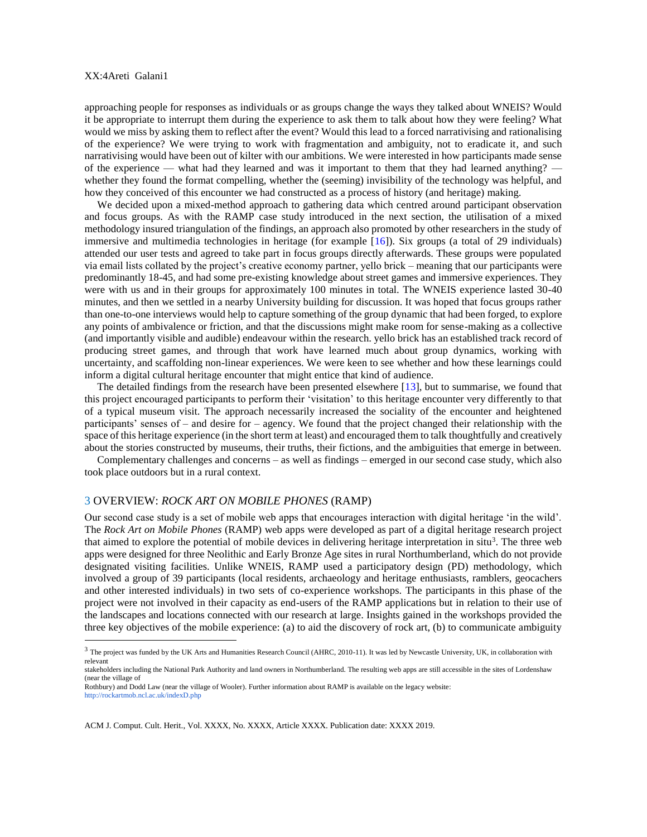l

approaching people for responses as individuals or as groups change the ways they talked about WNEIS? Would it be appropriate to interrupt them during the experience to ask them to talk about how they were feeling? What would we miss by asking them to reflect after the event? Would this lead to a forced narrativising and rationalising of the experience? We were trying to work with fragmentation and ambiguity, not to eradicate it, and such narrativising would have been out of kilter with our ambitions. We were interested in how participants made sense of the experience — what had they learned and was it important to them that they had learned anything? whether they found the format compelling, whether the (seeming) invisibility of the technology was helpful, and how they conceived of this encounter we had constructed as a process of history (and heritage) making.

We decided upon a mixed-method approach to gathering data which centred around participant observation and focus groups. As with the RAMP case study introduced in the next section, the utilisation of a mixed methodology insured triangulation of the findings, an approach also promoted by other researchers in the study of immersive and multimedia technologies in heritage (for example [\[16\]](#page-13-10)). Six groups (a total of 29 individuals) attended our user tests and agreed to take part in focus groups directly afterwards. These groups were populated via email lists collated by the project's creative economy partner, yello brick – meaning that our participants were predominantly 18-45, and had some pre-existing knowledge about street games and immersive experiences. They were with us and in their groups for approximately 100 minutes in total. The WNEIS experience lasted 30-40 minutes, and then we settled in a nearby University building for discussion. It was hoped that focus groups rather than one-to-one interviews would help to capture something of the group dynamic that had been forged, to explore any points of ambivalence or friction, and that the discussions might make room for sense-making as a collective (and importantly visible and audible) endeavour within the research. yello brick has an established track record of producing street games, and through that work have learned much about group dynamics, working with uncertainty, and scaffolding non-linear experiences. We were keen to see whether and how these learnings could inform a digital cultural heritage encounter that might entice that kind of audience.

The detailed findings from the research have been presented elsewhere [\[13\]](#page-13-7), but to summarise, we found that this project encouraged participants to perform their 'visitation' to this heritage encounter very differently to that of a typical museum visit. The approach necessarily increased the sociality of the encounter and heightened participants' senses of – and desire for – agency. We found that the project changed their relationship with the space of this heritage experience (in the short term at least) and encouraged them to talk thoughtfully and creatively about the stories constructed by museums, their truths, their fictions, and the ambiguities that emerge in between.

Complementary challenges and concerns – as well as findings – emerged in our second case study, which also took place outdoors but in a rural context.

## 3 OVERVIEW: *ROCK ART ON MOBILE PHONES* (RAMP)

Our second case study is a set of mobile web apps that encourages interaction with digital heritage 'in the wild'. The *Rock Art on Mobile Phones* (RAMP) web apps were developed as part of a digital heritage research project that aimed to explore the potential of mobile devices in delivering heritage interpretation in situ<sup>3</sup>. The three web apps were designed for three Neolithic and Early Bronze Age sites in rural Northumberland, which do not provide designated visiting facilities. Unlike WNEIS, RAMP used a participatory design (PD) methodology, which involved a group of 39 participants (local residents, archaeology and heritage enthusiasts, ramblers, geocachers and other interested individuals) in two sets of co-experience workshops. The participants in this phase of the project were not involved in their capacity as end-users of the RAMP applications but in relation to their use of the landscapes and locations connected with our research at large. Insights gained in the workshops provided the three key objectives of the mobile experience: (a) to aid the discovery of rock art, (b) to communicate ambiguity

 $3$  The project was funded by the UK Arts and Humanities Research Council (AHRC, 2010-11). It was led by Newcastle University, UK, in collaboration with relevant

stakeholders including the National Park Authority and land owners in Northumberland. The resulting web apps are still accessible in the sites of Lordenshaw (near the village of

Rothbury) and Dodd Law (near the village of Wooler). Further information about RAMP is available on the legacy website: http://rockartmob.ncl.ac.uk/indexD.php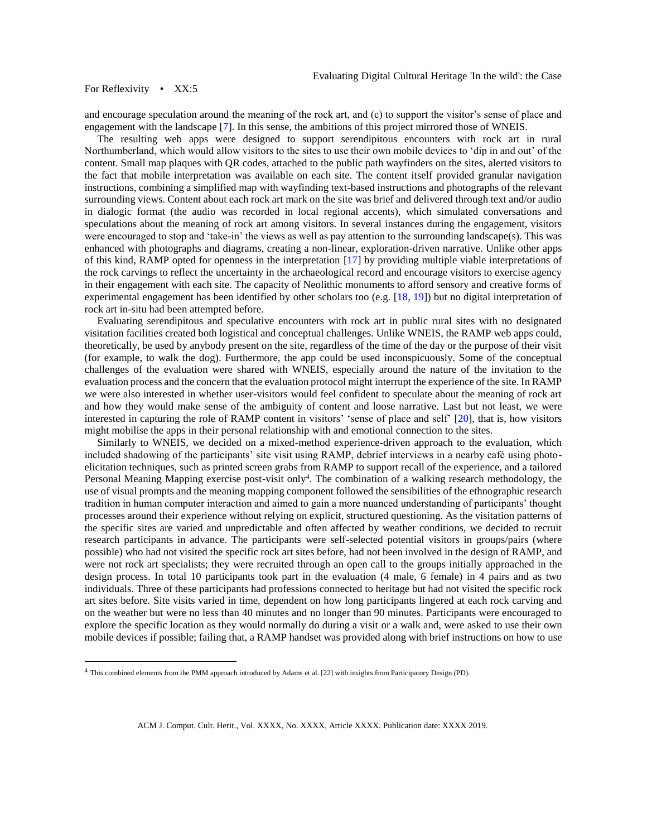l

and encourage speculation around the meaning of the rock art, and (c) to support the visitor's sense of place and engagement with the landscape [\[7\]](#page-13-1). In this sense, the ambitions of this project mirrored those of WNEIS.

The resulting web apps were designed to support serendipitous encounters with rock art in rural Northumberland, which would allow visitors to the sites to use their own mobile devices to 'dip in and out' of the content. Small map plaques with QR codes, attached to the public path wayfinders on the sites, alerted visitors to the fact that mobile interpretation was available on each site. The content itself provided granular navigation instructions, combining a simplified map with wayfinding text-based instructions and photographs of the relevant surrounding views. Content about each rock art mark on the site was brief and delivered through text and/or audio in dialogic format (the audio was recorded in local regional accents), which simulated conversations and speculations about the meaning of rock art among visitors. In several instances during the engagement, visitors were encouraged to stop and 'take-in' the views as well as pay attention to the surrounding landscape(s). This was enhanced with photographs and diagrams, creating a non-linear, exploration-driven narrative. Unlike other apps of this kind, RAMP opted for openness in the interpretation [\[17\]](#page-13-11) by providing multiple viable interpretations of the rock carvings to reflect the uncertainty in the archaeological record and encourage visitors to exercise agency in their engagement with each site. The capacity of Neolithic monuments to afford sensory and creative forms of experimental engagement has been identified by other scholars too (e.g. [\[18,](#page-13-12) [19\]](#page-13-13)) but no digital interpretation of rock art in-situ had been attempted before.

Evaluating serendipitous and speculative encounters with rock art in public rural sites with no designated visitation facilities created both logistical and conceptual challenges. Unlike WNEIS, the RAMP web apps could, theoretically, be used by anybody present on the site, regardless of the time of the day or the purpose of their visit (for example, to walk the dog). Furthermore, the app could be used inconspicuously. Some of the conceptual challenges of the evaluation were shared with WNEIS, especially around the nature of the invitation to the evaluation process and the concern that the evaluation protocol might interrupt the experience of the site. In RAMP we were also interested in whether user-visitors would feel confident to speculate about the meaning of rock art and how they would make sense of the ambiguity of content and loose narrative. Last but not least, we were interested in capturing the role of RAMP content in visitors' 'sense of place and self' [\[20\]](#page-13-14), that is, how visitors might mobilise the apps in their personal relationship with and emotional connection to the sites.

Similarly to WNEIS, we decided on a mixed-method experience-driven approach to the evaluation, which included shadowing of the participants' site visit using RAMP, debrief interviews in a nearby café using photoelicitation techniques, such as printed screen grabs from RAMP to support recall of the experience, and a tailored Personal Meaning Mapping exercise post-visit only<sup>4</sup>. The combination of a walking research methodology, the use of visual prompts and the meaning mapping component followed the sensibilities of the ethnographic research tradition in human computer interaction and aimed to gain a more nuanced understanding of participants' thought processes around their experience without relying on explicit, structured questioning. As the visitation patterns of the specific sites are varied and unpredictable and often affected by weather conditions, we decided to recruit research participants in advance. The participants were self-selected potential visitors in groups/pairs (where possible) who had not visited the specific rock art sites before, had not been involved in the design of RAMP, and were not rock art specialists; they were recruited through an open call to the groups initially approached in the design process. In total 10 participants took part in the evaluation (4 male, 6 female) in 4 pairs and as two individuals. Three of these participants had professions connected to heritage but had not visited the specific rock art sites before. Site visits varied in time, dependent on how long participants lingered at each rock carving and on the weather but were no less than 40 minutes and no longer than 90 minutes. Participants were encouraged to explore the specific location as they would normally do during a visit or a walk and, were asked to use their own mobile devices if possible; failing that, a RAMP handset was provided along with brief instructions on how to use

<sup>4</sup> This combined elements from the PMM approach introduced by Adams et al. [22] with insights from Participatory Design (PD).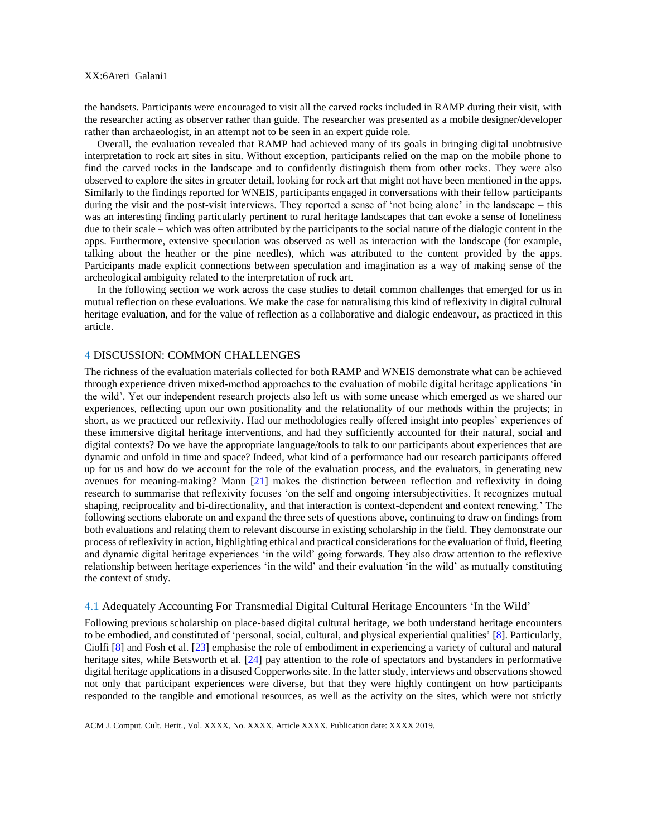the handsets. Participants were encouraged to visit all the carved rocks included in RAMP during their visit, with the researcher acting as observer rather than guide. The researcher was presented as a mobile designer/developer rather than archaeologist, in an attempt not to be seen in an expert guide role.

Overall, the evaluation revealed that RAMP had achieved many of its goals in bringing digital unobtrusive interpretation to rock art sites in situ. Without exception, participants relied on the map on the mobile phone to find the carved rocks in the landscape and to confidently distinguish them from other rocks. They were also observed to explore the sites in greater detail, looking for rock art that might not have been mentioned in the apps. Similarly to the findings reported for WNEIS, participants engaged in conversations with their fellow participants during the visit and the post-visit interviews. They reported a sense of 'not being alone' in the landscape – this was an interesting finding particularly pertinent to rural heritage landscapes that can evoke a sense of loneliness due to their scale – which was often attributed by the participants to the social nature of the dialogic content in the apps. Furthermore, extensive speculation was observed as well as interaction with the landscape (for example, talking about the heather or the pine needles), which was attributed to the content provided by the apps. Participants made explicit connections between speculation and imagination as a way of making sense of the archeological ambiguity related to the interpretation of rock art.

In the following section we work across the case studies to detail common challenges that emerged for us in mutual reflection on these evaluations. We make the case for naturalising this kind of reflexivity in digital cultural heritage evaluation, and for the value of reflection as a collaborative and dialogic endeavour, as practiced in this article.

## 4 DISCUSSION: COMMON CHALLENGES

The richness of the evaluation materials collected for both RAMP and WNEIS demonstrate what can be achieved through experience driven mixed-method approaches to the evaluation of mobile digital heritage applications 'in the wild'. Yet our independent research projects also left us with some unease which emerged as we shared our experiences, reflecting upon our own positionality and the relationality of our methods within the projects; in short, as we practiced our reflexivity. Had our methodologies really offered insight into peoples' experiences of these immersive digital heritage interventions, and had they sufficiently accounted for their natural, social and digital contexts? Do we have the appropriate language/tools to talk to our participants about experiences that are dynamic and unfold in time and space? Indeed, what kind of a performance had our research participants offered up for us and how do we account for the role of the evaluation process, and the evaluators, in generating new avenues for meaning-making? Mann [\[21\]](#page-13-15) makes the distinction between reflection and reflexivity in doing research to summarise that reflexivity focuses 'on the self and ongoing intersubjectivities. It recognizes mutual shaping, reciprocality and bi-directionality, and that interaction is context-dependent and context renewing.' The following sections elaborate on and expand the three sets of questions above, continuing to draw on findings from both evaluations and relating them to relevant discourse in existing scholarship in the field. They demonstrate our process of reflexivity in action, highlighting ethical and practical considerations for the evaluation of fluid, fleeting and dynamic digital heritage experiences 'in the wild' going forwards. They also draw attention to the reflexive relationship between heritage experiences 'in the wild' and their evaluation 'in the wild' as mutually constituting the context of study.

## 4.1 Adequately Accounting For Transmedial Digital Cultural Heritage Encounters 'In the Wild'

Following previous scholarship on place-based digital cultural heritage, we both understand heritage encounters to be embodied, and constituted of 'personal, social, cultural, and physical experiential qualities' [\[8\]](#page-13-2). Particularly, Ciolfi [\[8\]](#page-13-2) and Fosh et al. [\[23\]](#page-13-16) emphasise the role of embodiment in experiencing a variety of cultural and natural heritage sites, while Betsworth et al. [\[24\]](#page-13-17) pay attention to the role of spectators and bystanders in performative digital heritage applications in a disused Copperworks site. In the latter study, interviews and observations showed not only that participant experiences were diverse, but that they were highly contingent on how participants responded to the tangible and emotional resources, as well as the activity on the sites, which were not strictly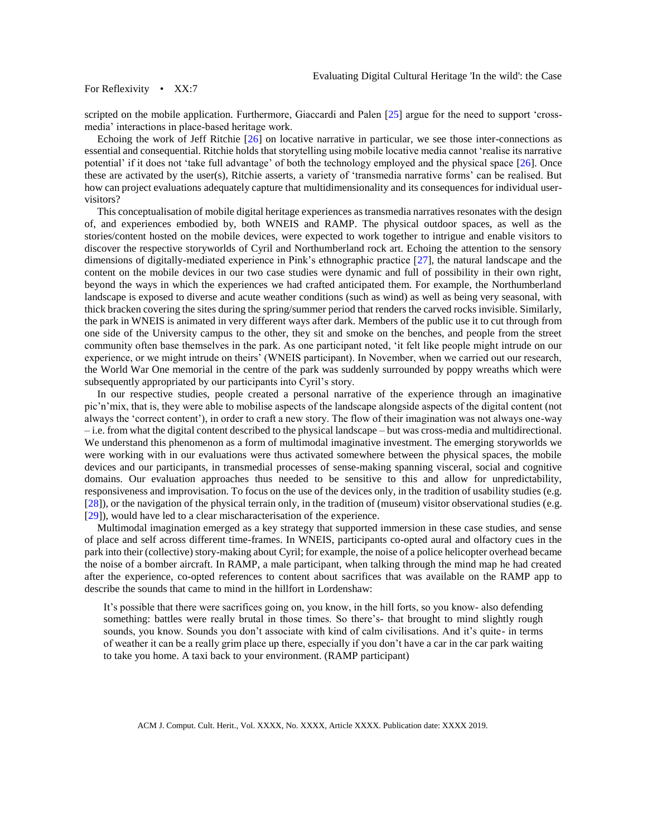scripted on the mobile application. Furthermore, Giaccardi and Palen [[25](#page-13-18)] argue for the need to support 'crossmedia' interactions in place-based heritage work.

Echoing the work of Jeff Ritchie [\[26\]](#page-13-19) on locative narrative in particular, we see those inter-connections as essential and consequential. Ritchie holds that storytelling using mobile locative media cannot 'realise its narrative potential' if it does not 'take full advantage' of both the technology employed and the physical space  $[26]$ . Once these are activated by the user(s), Ritchie asserts, a variety of 'transmedia narrative forms' can be realised. But how can project evaluations adequately capture that multidimensionality and its consequences for individual uservisitors?

This conceptualisation of mobile digital heritage experiences as transmedia narratives resonates with the design of, and experiences embodied by, both WNEIS and RAMP. The physical outdoor spaces, as well as the stories/content hosted on the mobile devices, were expected to work together to intrigue and enable visitors to discover the respective storyworlds of Cyril and Northumberland rock art. Echoing the attention to the sensory dimensions of digitally-mediated experience in Pink's ethnographic practice [\[27\]](#page-13-20), the natural landscape and the content on the mobile devices in our two case studies were dynamic and full of possibility in their own right, beyond the ways in which the experiences we had crafted anticipated them. For example, the Northumberland landscape is exposed to diverse and acute weather conditions (such as wind) as well as being very seasonal, with thick bracken covering the sites during the spring/summer period that renders the carved rocks invisible. Similarly, the park in WNEIS is animated in very different ways after dark. Members of the public use it to cut through from one side of the University campus to the other, they sit and smoke on the benches, and people from the street community often base themselves in the park. As one participant noted, 'it felt like people might intrude on our experience, or we might intrude on theirs' (WNEIS participant). In November, when we carried out our research, the World War One memorial in the centre of the park was suddenly surrounded by poppy wreaths which were subsequently appropriated by our participants into Cyril's story.

In our respective studies, people created a personal narrative of the experience through an imaginative pic'n'mix, that is, they were able to mobilise aspects of the landscape alongside aspects of the digital content (not always the 'correct content'), in order to craft a new story. The flow of their imagination was not always one-way – i.e. from what the digital content described to the physical landscape – but was cross-media and multidirectional. We understand this phenomenon as a form of multimodal imaginative investment. The emerging storyworlds we were working with in our evaluations were thus activated somewhere between the physical spaces, the mobile devices and our participants, in transmedial processes of sense-making spanning visceral, social and cognitive domains. Our evaluation approaches thus needed to be sensitive to this and allow for unpredictability, responsiveness and improvisation. To focus on the use of the devices only, in the tradition of usability studies (e.g. [\[28\]](#page-13-21)), or the navigation of the physical terrain only, in the tradition of (museum) visitor observational studies (e.g. [\[29\]](#page-13-22)), would have led to a clear mischaracterisation of the experience.

Multimodal imagination emerged as a key strategy that supported immersion in these case studies, and sense of place and self across different time-frames. In WNEIS, participants co-opted aural and olfactory cues in the park into their (collective) story-making about Cyril; for example, the noise of a police helicopter overhead became the noise of a bomber aircraft. In RAMP, a male participant, when talking through the mind map he had created after the experience, co-opted references to content about sacrifices that was available on the RAMP app to describe the sounds that came to mind in the hillfort in Lordenshaw:

It's possible that there were sacrifices going on, you know, in the hill forts, so you know- also defending something: battles were really brutal in those times. So there's- that brought to mind slightly rough sounds, you know. Sounds you don't associate with kind of calm civilisations. And it's quite- in terms of weather it can be a really grim place up there, especially if you don't have a car in the car park waiting to take you home. A taxi back to your environment. (RAMP participant)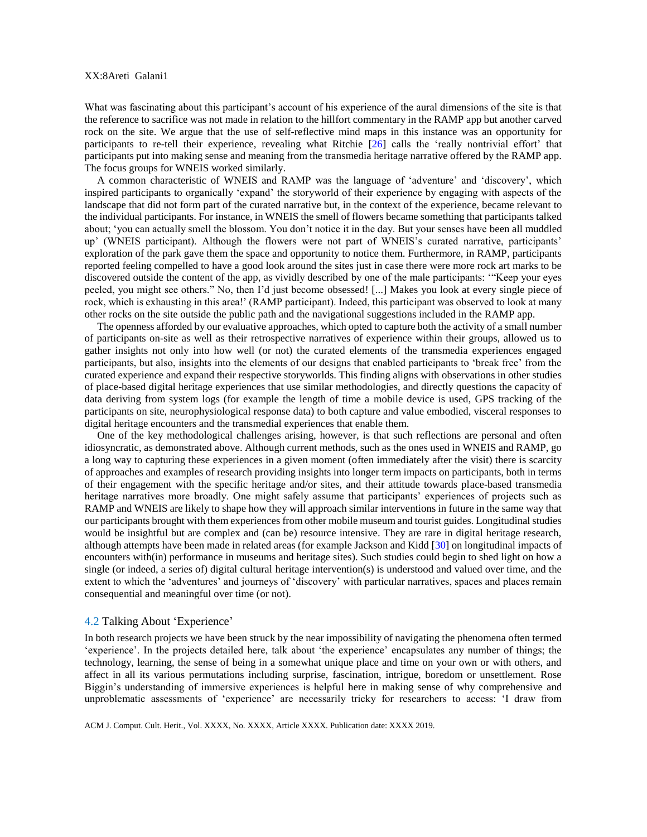What was fascinating about this participant's account of his experience of the aural dimensions of the site is that the reference to sacrifice was not made in relation to the hillfort commentary in the RAMP app but another carved rock on the site. We argue that the use of self-reflective mind maps in this instance was an opportunity for participants to re-tell their experience, revealing what Ritchie [\[26\]](#page-13-19) calls the 'really nontrivial effort' that participants put into making sense and meaning from the transmedia heritage narrative offered by the RAMP app. The focus groups for WNEIS worked similarly.

A common characteristic of WNEIS and RAMP was the language of 'adventure' and 'discovery', which inspired participants to organically 'expand' the storyworld of their experience by engaging with aspects of the landscape that did not form part of the curated narrative but, in the context of the experience, became relevant to the individual participants. For instance, in WNEIS the smell of flowers became something that participants talked about; 'you can actually smell the blossom. You don't notice it in the day. But your senses have been all muddled up' (WNEIS participant). Although the flowers were not part of WNEIS's curated narrative, participants' exploration of the park gave them the space and opportunity to notice them. Furthermore, in RAMP, participants reported feeling compelled to have a good look around the sites just in case there were more rock art marks to be discovered outside the content of the app, as vividly described by one of the male participants: '"Keep your eyes peeled, you might see others." No, then I'd just become obsessed! [...] Makes you look at every single piece of rock, which is exhausting in this area!' (RAMP participant). Indeed, this participant was observed to look at many other rocks on the site outside the public path and the navigational suggestions included in the RAMP app.

The openness afforded by our evaluative approaches, which opted to capture both the activity of a small number of participants on-site as well as their retrospective narratives of experience within their groups, allowed us to gather insights not only into how well (or not) the curated elements of the transmedia experiences engaged participants, but also, insights into the elements of our designs that enabled participants to 'break free' from the curated experience and expand their respective storyworlds. This finding aligns with observations in other studies of place-based digital heritage experiences that use similar methodologies, and directly questions the capacity of data deriving from system logs (for example the length of time a mobile device is used, GPS tracking of the participants on site, neurophysiological response data) to both capture and value embodied, visceral responses to digital heritage encounters and the transmedial experiences that enable them.

One of the key methodological challenges arising, however, is that such reflections are personal and often idiosyncratic, as demonstrated above. Although current methods, such as the ones used in WNEIS and RAMP, go a long way to capturing these experiences in a given moment (often immediately after the visit) there is scarcity of approaches and examples of research providing insights into longer term impacts on participants, both in terms of their engagement with the specific heritage and/or sites, and their attitude towards place-based transmedia heritage narratives more broadly. One might safely assume that participants' experiences of projects such as RAMP and WNEIS are likely to shape how they will approach similar interventions in future in the same way that our participants brought with them experiences from other mobile museum and tourist guides. Longitudinal studies would be insightful but are complex and (can be) resource intensive. They are rare in digital heritage research, although attempts have been made in related areas (for example Jackson and Kidd [\[30\]](#page-13-23) on longitudinal impacts of encounters with(in) performance in museums and heritage sites). Such studies could begin to shed light on how a single (or indeed, a series of) digital cultural heritage intervention(s) is understood and valued over time, and the extent to which the 'adventures' and journeys of 'discovery' with particular narratives, spaces and places remain consequential and meaningful over time (or not).

## 4.2 Talking About 'Experience'

In both research projects we have been struck by the near impossibility of navigating the phenomena often termed 'experience'. In the projects detailed here, talk about 'the experience' encapsulates any number of things; the technology, learning, the sense of being in a somewhat unique place and time on your own or with others, and affect in all its various permutations including surprise, fascination, intrigue, boredom or unsettlement. Rose Biggin's understanding of immersive experiences is helpful here in making sense of why comprehensive and unproblematic assessments of 'experience' are necessarily tricky for researchers to access: 'I draw from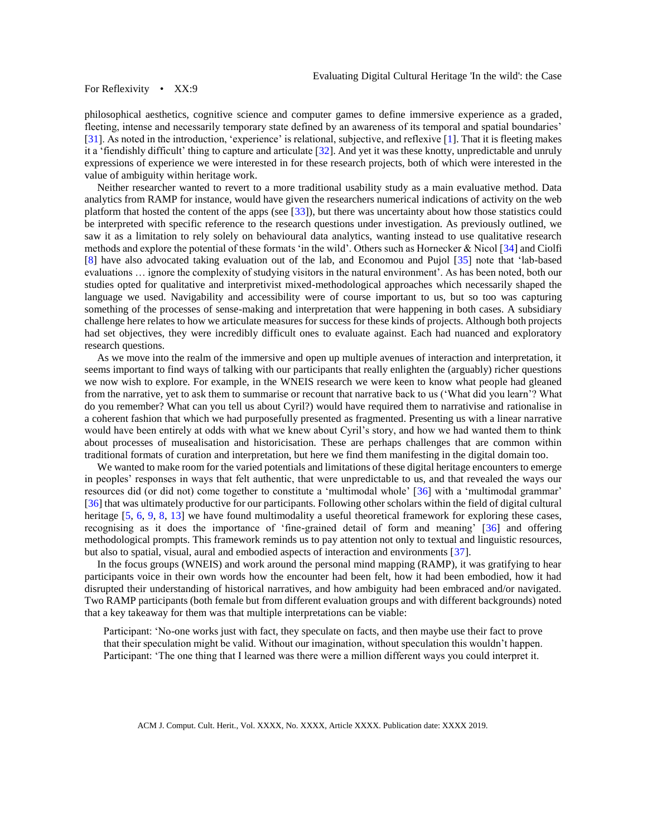philosophical aesthetics, cognitive science and computer games to define immersive experience as a graded, fleeting, intense and necessarily temporary state defined by an awareness of its temporal and spatial boundaries' [\[31\]](#page-13-24). As noted in the introduction, 'experience' is relational, subjective, and reflexive [\[1\]](#page-12-0). That it is fleeting makes it a 'fiendishly difficult' thing to capture and articulate [\[32\]](#page-13-25). And yet it was these knotty, unpredictable and unruly expressions of experience we were interested in for these research projects, both of which were interested in the value of ambiguity within heritage work.

Neither researcher wanted to revert to a more traditional usability study as a main evaluative method. Data analytics from RAMP for instance, would have given the researchers numerical indications of activity on the web platform that hosted the content of the apps (see [\[33\]](#page-13-26)), but there was uncertainty about how those statistics could be interpreted with specific reference to the research questions under investigation. As previously outlined, we saw it as a limitation to rely solely on behavioural data analytics, wanting instead to use qualitative research methods and explore the potential of these formats 'in the wild'. Others such as Hornecker & Nicol [\[34\]](#page-14-0) and Ciolfi [\[8\]](#page-13-2) have also advocated taking evaluation out of the lab, and Economou and Pujol [\[35\]](#page-14-1) note that 'lab-based evaluations … ignore the complexity of studying visitors in the natural environment'. As has been noted, both our studies opted for qualitative and interpretivist mixed-methodological approaches which necessarily shaped the language we used. Navigability and accessibility were of course important to us, but so too was capturing something of the processes of sense-making and interpretation that were happening in both cases. A subsidiary challenge here relates to how we articulate measures for success for these kinds of projects. Although both projects had set objectives, they were incredibly difficult ones to evaluate against. Each had nuanced and exploratory research questions.

As we move into the realm of the immersive and open up multiple avenues of interaction and interpretation, it seems important to find ways of talking with our participants that really enlighten the (arguably) richer questions we now wish to explore. For example, in the WNEIS research we were keen to know what people had gleaned from the narrative, yet to ask them to summarise or recount that narrative back to us ('What did you learn'? What do you remember? What can you tell us about Cyril?) would have required them to narrativise and rationalise in a coherent fashion that which we had purposefully presented as fragmented. Presenting us with a linear narrative would have been entirely at odds with what we knew about Cyril's story, and how we had wanted them to think about processes of musealisation and historicisation. These are perhaps challenges that are common within traditional formats of curation and interpretation, but here we find them manifesting in the digital domain too.

We wanted to make room for the varied potentials and limitations of these digital heritage encounters to emerge in peoples' responses in ways that felt authentic, that were unpredictable to us, and that revealed the ways our resources did (or did not) come together to constitute a 'multimodal whole' [\[36\]](#page-14-2) with a 'multimodal grammar' [\[36\]](#page-14-2) that was ultimately productive for our participants. Following other scholars within the field of digital cultural heritage [\[5,](#page-12-4) [6,](#page-13-0) [9,](#page-13-3) [8,](#page-13-2) [13\]](#page-13-7) we have found multimodality a useful theoretical framework for exploring these cases, recognising as it does the importance of 'fine-grained detail of form and meaning' [\[36\]](#page-14-2) and offering methodological prompts. This framework reminds us to pay attention not only to textual and linguistic resources, but also to spatial, visual, aural and embodied aspects of interaction and environments [\[37\]](#page-14-3).

In the focus groups (WNEIS) and work around the personal mind mapping (RAMP), it was gratifying to hear participants voice in their own words how the encounter had been felt, how it had been embodied, how it had disrupted their understanding of historical narratives, and how ambiguity had been embraced and/or navigated. Two RAMP participants (both female but from different evaluation groups and with different backgrounds) noted that a key takeaway for them was that multiple interpretations can be viable:

Participant: 'No-one works just with fact, they speculate on facts, and then maybe use their fact to prove that their speculation might be valid. Without our imagination, without speculation this wouldn't happen. Participant: 'The one thing that I learned was there were a million different ways you could interpret it.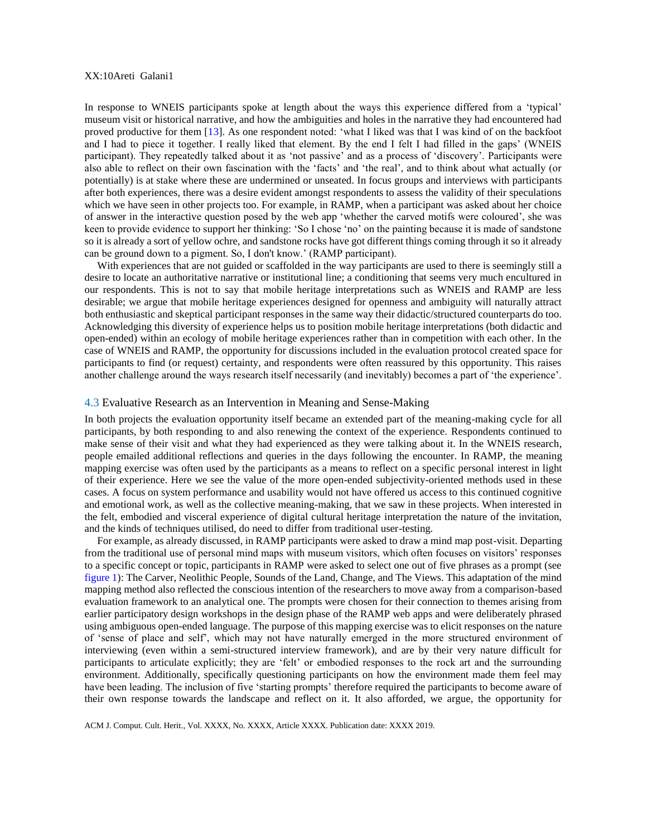## XX:10Areti Galani1

In response to WNEIS participants spoke at length about the ways this experience differed from a 'typical' museum visit or historical narrative, and how the ambiguities and holes in the narrative they had encountered had proved productive for them [\[13\]](#page-13-7). As one respondent noted: 'what I liked was that I was kind of on the backfoot and I had to piece it together. I really liked that element. By the end I felt I had filled in the gaps' (WNEIS participant). They repeatedly talked about it as 'not passive' and as a process of 'discovery'. Participants were also able to reflect on their own fascination with the 'facts' and 'the real', and to think about what actually (or potentially) is at stake where these are undermined or unseated. In focus groups and interviews with participants after both experiences, there was a desire evident amongst respondents to assess the validity of their speculations which we have seen in other projects too. For example, in RAMP, when a participant was asked about her choice of answer in the interactive question posed by the web app 'whether the carved motifs were coloured', she was keen to provide evidence to support her thinking: 'So I chose 'no' on the painting because it is made of sandstone so it is already a sort of yellow ochre, and sandstone rocks have got different things coming through it so it already can be ground down to a pigment. So, I don't know.' (RAMP participant).

With experiences that are not guided or scaffolded in the way participants are used to there is seemingly still a desire to locate an authoritative narrative or institutional line; a conditioning that seems very much encultured in our respondents. This is not to say that mobile heritage interpretations such as WNEIS and RAMP are less desirable; we argue that mobile heritage experiences designed for openness and ambiguity will naturally attract both enthusiastic and skeptical participant responses in the same way their didactic/structured counterparts do too. Acknowledging this diversity of experience helps us to position mobile heritage interpretations (both didactic and open-ended) within an ecology of mobile heritage experiences rather than in competition with each other. In the case of WNEIS and RAMP, the opportunity for discussions included in the evaluation protocol created space for participants to find (or request) certainty, and respondents were often reassured by this opportunity. This raises another challenge around the ways research itself necessarily (and inevitably) becomes a part of 'the experience'.

#### 4.3 Evaluative Research as an Intervention in Meaning and Sense-Making

In both projects the evaluation opportunity itself became an extended part of the meaning-making cycle for all participants, by both responding to and also renewing the context of the experience. Respondents continued to make sense of their visit and what they had experienced as they were talking about it. In the WNEIS research, people emailed additional reflections and queries in the days following the encounter. In RAMP, the meaning mapping exercise was often used by the participants as a means to reflect on a specific personal interest in light of their experience. Here we see the value of the more open-ended subjectivity-oriented methods used in these cases. A focus on system performance and usability would not have offered us access to this continued cognitive and emotional work, as well as the collective meaning-making, that we saw in these projects. When interested in the felt, embodied and visceral experience of digital cultural heritage interpretation the nature of the invitation, and the kinds of techniques utilised, do need to differ from traditional user-testing.

For example, as already discussed, in RAMP participants were asked to draw a mind map post-visit. Departing from the traditional use of personal mind maps with museum visitors, which often focuses on visitors' responses to a specific concept or topic, participants in RAMP were asked to select one out of five phrases as a prompt (see [figure 1\)](#page-10-0): The Carver, Neolithic People, Sounds of the Land, Change, and The Views. This adaptation of the mind mapping method also reflected the conscious intention of the researchers to move away from a comparison-based evaluation framework to an analytical one. The prompts were chosen for their connection to themes arising from earlier participatory design workshops in the design phase of the RAMP web apps and were deliberately phrased using ambiguous open-ended language. The purpose of this mapping exercise was to elicit responses on the nature of 'sense of place and self', which may not have naturally emerged in the more structured environment of interviewing (even within a semi-structured interview framework), and are by their very nature difficult for participants to articulate explicitly; they are 'felt' or embodied responses to the rock art and the surrounding environment. Additionally, specifically questioning participants on how the environment made them feel may have been leading. The inclusion of five 'starting prompts' therefore required the participants to become aware of their own response towards the landscape and reflect on it. It also afforded, we argue, the opportunity for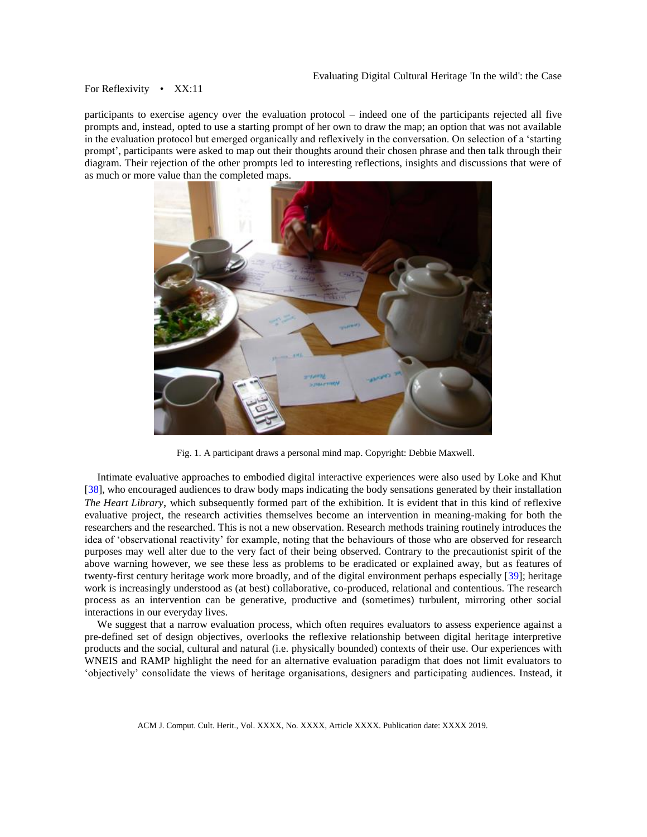participants to exercise agency over the evaluation protocol – indeed one of the participants rejected all five prompts and, instead, opted to use a starting prompt of her own to draw the map; an option that was not available in the evaluation protocol but emerged organically and reflexively in the conversation. On selection of a 'starting prompt', participants were asked to map out their thoughts around their chosen phrase and then talk through their diagram. Their rejection of the other prompts led to interesting reflections, insights and discussions that were of as much or more value than the completed maps.



Fig. 1. A participant draws a personal mind map. Copyright: Debbie Maxwell.

<span id="page-10-0"></span>Intimate evaluative approaches to embodied digital interactive experiences were also used by Loke and Khut [\[38\]](#page-14-4), who encouraged audiences to draw body maps indicating the body sensations generated by their installation *The Heart Library*, which subsequently formed part of the exhibition. It is evident that in this kind of reflexive evaluative project, the research activities themselves become an intervention in meaning-making for both the researchers and the researched. This is not a new observation. Research methods training routinely introduces the idea of 'observational reactivity' for example, noting that the behaviours of those who are observed for research purposes may well alter due to the very fact of their being observed. Contrary to the precautionist spirit of the above warning however, we see these less as problems to be eradicated or explained away, but as features of twenty-first century heritage work more broadly, and of the digital environment perhaps especially [\[39\]](#page-14-5); heritage work is increasingly understood as (at best) collaborative, co-produced, relational and contentious. The research process as an intervention can be generative, productive and (sometimes) turbulent, mirroring other social interactions in our everyday lives.

We suggest that a narrow evaluation process, which often requires evaluators to assess experience against a pre-defined set of design objectives, overlooks the reflexive relationship between digital heritage interpretive products and the social, cultural and natural (i.e. physically bounded) contexts of their use. Our experiences with WNEIS and RAMP highlight the need for an alternative evaluation paradigm that does not limit evaluators to 'objectively' consolidate the views of heritage organisations, designers and participating audiences. Instead, it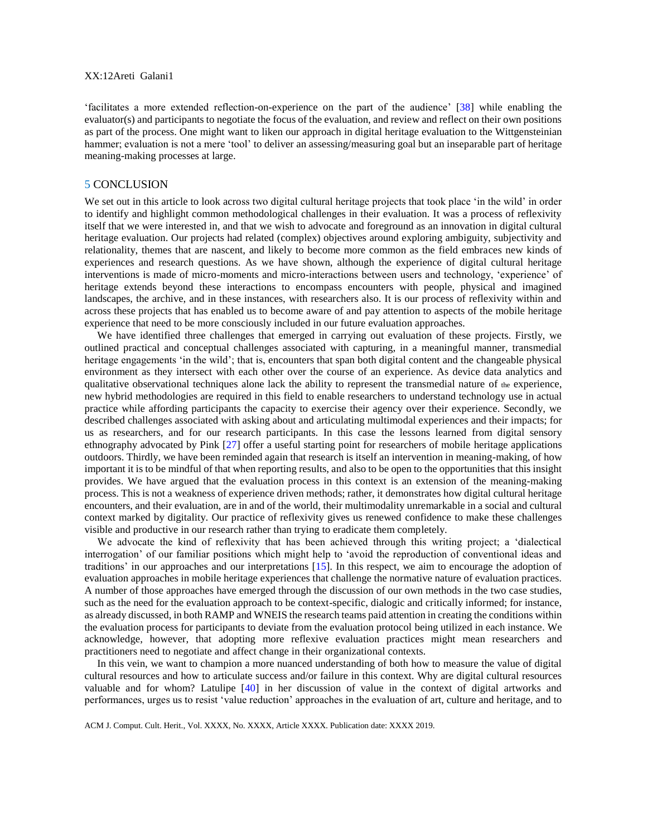## XX:12Areti Galani1

'facilitates a more extended reflection-on-experience on the part of the audience' [\[38\]](#page-14-4) while enabling the evaluator(s) and participants to negotiate the focus of the evaluation, and review and reflect on their own positions as part of the process. One might want to liken our approach in digital heritage evaluation to the Wittgensteinian hammer; evaluation is not a mere 'tool' to deliver an assessing/measuring goal but an inseparable part of heritage meaning-making processes at large.

#### 5 CONCLUSION

We set out in this article to look across two digital cultural heritage projects that took place 'in the wild' in order to identify and highlight common methodological challenges in their evaluation. It was a process of reflexivity itself that we were interested in, and that we wish to advocate and foreground as an innovation in digital cultural heritage evaluation. Our projects had related (complex) objectives around exploring ambiguity, subjectivity and relationality, themes that are nascent, and likely to become more common as the field embraces new kinds of experiences and research questions. As we have shown, although the experience of digital cultural heritage interventions is made of micro-moments and micro-interactions between users and technology, 'experience' of heritage extends beyond these interactions to encompass encounters with people, physical and imagined landscapes, the archive, and in these instances, with researchers also. It is our process of reflexivity within and across these projects that has enabled us to become aware of and pay attention to aspects of the mobile heritage experience that need to be more consciously included in our future evaluation approaches.

We have identified three challenges that emerged in carrying out evaluation of these projects. Firstly, we outlined practical and conceptual challenges associated with capturing, in a meaningful manner, transmedial heritage engagements 'in the wild'; that is, encounters that span both digital content and the changeable physical environment as they intersect with each other over the course of an experience. As device data analytics and qualitative observational techniques alone lack the ability to represent the transmedial nature of the experience, new hybrid methodologies are required in this field to enable researchers to understand technology use in actual practice while affording participants the capacity to exercise their agency over their experience. Secondly, we described challenges associated with asking about and articulating multimodal experiences and their impacts; for us as researchers, and for our research participants. In this case the lessons learned from digital sensory ethnography advocated by Pink [\[27\]](#page-13-20) offer a useful starting point for researchers of mobile heritage applications outdoors. Thirdly, we have been reminded again that research is itself an intervention in meaning-making, of how important it is to be mindful of that when reporting results, and also to be open to the opportunities that this insight provides. We have argued that the evaluation process in this context is an extension of the meaning-making process. This is not a weakness of experience driven methods; rather, it demonstrates how digital cultural heritage encounters, and their evaluation, are in and of the world, their multimodality unremarkable in a social and cultural context marked by digitality. Our practice of reflexivity gives us renewed confidence to make these challenges visible and productive in our research rather than trying to eradicate them completely.

We advocate the kind of reflexivity that has been achieved through this writing project; a 'dialectical interrogation' of our familiar positions which might help to 'avoid the reproduction of conventional ideas and traditions' in our approaches and our interpretations [\[15\]](#page-13-9). In this respect, we aim to encourage the adoption of evaluation approaches in mobile heritage experiences that challenge the normative nature of evaluation practices. A number of those approaches have emerged through the discussion of our own methods in the two case studies, such as the need for the evaluation approach to be context-specific, dialogic and critically informed; for instance, as already discussed, in both RAMP and WNEIS the research teams paid attention in creating the conditions within the evaluation process for participants to deviate from the evaluation protocol being utilized in each instance. We acknowledge, however, that adopting more reflexive evaluation practices might mean researchers and practitioners need to negotiate and affect change in their organizational contexts.

In this vein, we want to champion a more nuanced understanding of both how to measure the value of digital cultural resources and how to articulate success and/or failure in this context. Why are digital cultural resources valuable and for whom? Latulipe [\[40\]](#page-14-6) in her discussion of value in the context of digital artworks and performances, urges us to resist 'value reduction' approaches in the evaluation of art, culture and heritage, and to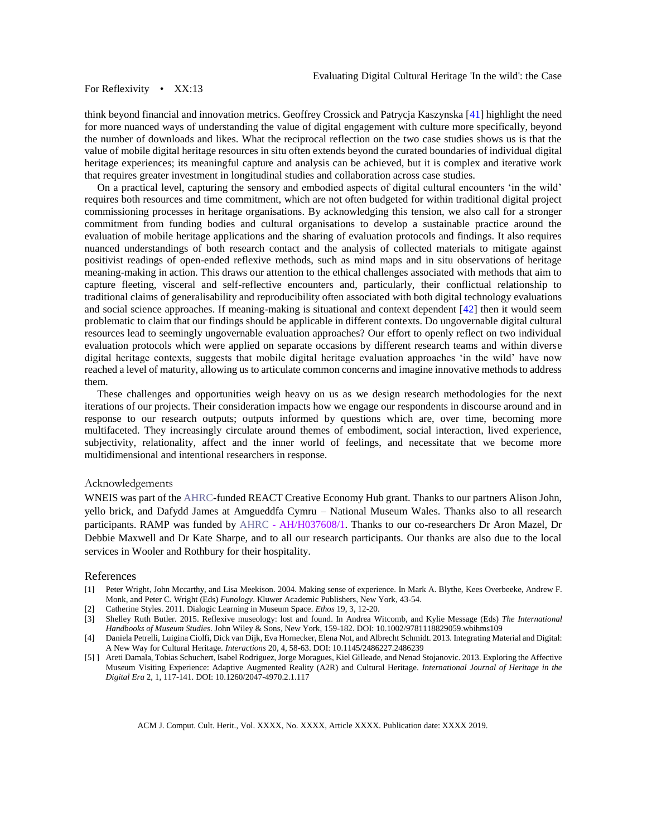think beyond financial and innovation metrics. Geoffrey Crossick and Patrycja Kaszynska [\[41\]](#page-14-7) highlight the need for more nuanced ways of understanding the value of digital engagement with culture more specifically, beyond the number of downloads and likes. What the reciprocal reflection on the two case studies shows us is that the value of mobile digital heritage resources in situ often extends beyond the curated boundaries of individual digital heritage experiences; its meaningful capture and analysis can be achieved, but it is complex and iterative work that requires greater investment in longitudinal studies and collaboration across case studies.

On a practical level, capturing the sensory and embodied aspects of digital cultural encounters 'in the wild' requires both resources and time commitment, which are not often budgeted for within traditional digital project commissioning processes in heritage organisations. By acknowledging this tension, we also call for a stronger commitment from funding bodies and cultural organisations to develop a sustainable practice around the evaluation of mobile heritage applications and the sharing of evaluation protocols and findings. It also requires nuanced understandings of both research contact and the analysis of collected materials to mitigate against positivist readings of open-ended reflexive methods, such as mind maps and in situ observations of heritage meaning-making in action. This draws our attention to the ethical challenges associated with methods that aim to capture fleeting, visceral and self-reflective encounters and, particularly, their conflictual relationship to traditional claims of generalisability and reproducibility often associated with both digital technology evaluations and social science approaches. If meaning-making is situational and context dependent [\[42\]](#page-14-8) then it would seem problematic to claim that our findings should be applicable in different contexts. Do ungovernable digital cultural resources lead to seemingly ungovernable evaluation approaches? Our effort to openly reflect on two individual evaluation protocols which were applied on separate occasions by different research teams and within diverse digital heritage contexts, suggests that mobile digital heritage evaluation approaches 'in the wild' have now reached a level of maturity, allowing us to articulate common concerns and imagine innovative methods to address them.

These challenges and opportunities weigh heavy on us as we design research methodologies for the next iterations of our projects. Their consideration impacts how we engage our respondents in discourse around and in response to our research outputs; outputs informed by questions which are, over time, becoming more multifaceted. They increasingly circulate around themes of embodiment, social interaction, lived experience, subjectivity, relationality, affect and the inner world of feelings, and necessitate that we become more multidimensional and intentional researchers in response.

#### Acknowledgements

WNEIS was part of the AHRC-funded REACT Creative Economy Hub grant. Thanks to our partners Alison John, yello brick, and Dafydd James at Amgueddfa Cymru – National Museum Wales. Thanks also to all research participants. RAMP was funded by AHRC - AH/H037608/1. Thanks to our co-researchers Dr Aron Mazel, Dr Debbie Maxwell and Dr Kate Sharpe, and to all our research participants. Our thanks are also due to the local services in Wooler and Rothbury for their hospitality.

#### References

- <span id="page-12-0"></span>[1] Peter Wright, John Mccarthy, and Lisa Meekison. 2004. Making sense of experience. In Mark A. Blythe, Kees Overbeeke, Andrew F. Monk, and Peter C. Wright (Eds) *Funology*. Kluwer Academic Publishers, New York, 43-54.
- <span id="page-12-1"></span>[2] Catherine Styles. 2011. Dialogic Learning in Museum Space. *Ethos* 19, 3, 12-20.
- <span id="page-12-2"></span>[3] Shelley Ruth Butler. 2015. Reflexive museology: lost and found. In Andrea Witcomb, and Kylie Message (Eds) *The International Handbooks of Museum Studies*. John Wiley & Sons, New York, 159-182. DOI: 10.1002/9781118829059.wbihms109
- <span id="page-12-3"></span>[4] Daniela Petrelli, Luigina Ciolfi, Dick van Dijk, Eva Hornecker, Elena Not, and Albrecht Schmidt. 2013. Integrating Material and Digital: A New Way for Cultural Heritage. *Interactions* 20, 4, 58-63. DOI: 10.1145/2486227.2486239
- <span id="page-12-4"></span>[5] ] Areti Damala, Tobias Schuchert, Isabel Rodriguez, Jorge Moragues, Kiel Gilleade, and Nenad Stojanovic. 2013. Exploring the Affective Museum Visiting Experience: Adaptive Augmented Reality (A2R) and Cultural Heritage. *International Journal of Heritage in the Digital Era* 2, 1, 117-141. DOI: 10.1260/2047-4970.2.1.117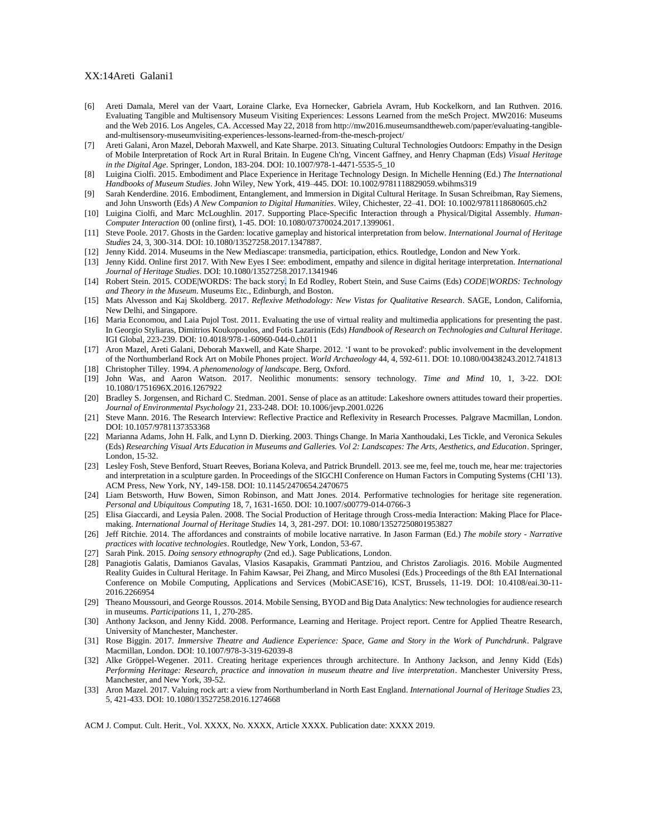#### XX:14Areti Galani1

- <span id="page-13-0"></span>[6] Areti Damala, Merel van der Vaart, Loraine Clarke, Eva Hornecker, Gabriela Avram, Hub Kockelkorn, and Ian Ruthven. 2016. Evaluating Tangible and Multisensory Museum Visiting Experiences: Lessons Learned from the meSch Project. MW2016: Museums and the Web 2016. Los Angeles, CA. Accessed May 22, 2018 from http://mw2016.museumsandtheweb.com/paper/evaluating-tangibleand-multisensory-museumvisiting-experiences-lessons-learned-from-the-mesch-project/
- <span id="page-13-1"></span>[7] Areti Galani, Aron Mazel, Deborah Maxwell, and Kate Sharpe. 2013. Situating Cultural Technologies Outdoors: Empathy in the Design of Mobile Interpretation of Rock Art in Rural Britain. In Eugene Ch'ng, Vincent Gaffney, and Henry Chapman (Eds) *Visual Heritage in the Digital Age*. Springer, London, 183-204. DOI: 10.1007/978-1-4471-5535-5\_10
- <span id="page-13-2"></span>[8] Luigina Ciolfi. 2015. Embodiment and Place Experience in Heritage Technology Design. In Michelle Henning (Ed.) *The International Handbooks of Museum Studies*. John Wiley, New York, 419–445. DOI: 10.1002/9781118829059.wbihms319
- <span id="page-13-3"></span>[9] Sarah Kenderdine. 2016. Embodiment, Entanglement, and Immersion in Digital Cultural Heritage. In Susan Schreibman, Ray Siemens, and John Unsworth (Eds) *A New Companion to Digital Humanities*. Wiley, Chichester, 22–41. DOI: 10.1002/9781118680605.ch2
- <span id="page-13-4"></span>[10] Luigina Ciolfi, and Marc McLoughlin. 2017. Supporting Place-Specific Interaction through a Physical/Digital Assembly. *Human-Computer Interaction* 00 (online first), 1-45. DOI: 10.1080/07370024.2017.1399061.
- <span id="page-13-5"></span>[11] Steve Poole. 2017. Ghosts in the Garden: locative gameplay and historical interpretation from below. *International Journal of Heritage Studies* 24, 3, 300-314. DOI: 10.1080/13527258.2017.1347887.
- <span id="page-13-6"></span>[12] Jenny Kidd. 2014. Museums in the New Mediascape: transmedia, participation, ethics. Routledge, London and New York.
- <span id="page-13-7"></span>[13] Jenny Kidd. Online first 2017. With New Eyes I See: embodiment, empathy and silence in digital heritage interpretation. *International Journal of Heritage Studies*. DOI: 10.1080/13527258.2017.1341946
- <span id="page-13-8"></span>[14] Robert Stein. 2015. CODE|WORDS: The back story. In Ed Rodley, Robert Stein, and Suse Cairns (Eds) *CODE|WORDS: Technology and Theory in the Museum*. Museums Etc., Edinburgh, and Boston.
- <span id="page-13-9"></span>[15] Mats Alvesson and Kaj Skoldberg. 2017. *Reflexive Methodology: New Vistas for Qualitative Research*. SAGE, London, California, New Delhi, and Singapore.
- <span id="page-13-10"></span>[16] Maria Economou, and Laia Pujol Tost. 2011. Evaluating the use of virtual reality and multimedia applications for presenting the past. In Georgio Styliaras, Dimitrios Koukopoulos, and Fotis Lazarinis (Eds) *Handbook of Research on Technologies and Cultural Heritage*. IGI Global, 223-239. DOI: 10.4018/978-1-60960-044-0.ch011
- <span id="page-13-11"></span>[17] Aron Mazel, Areti Galani, Deborah Maxwell, and Kate Sharpe. 2012. 'I want to be provoked': public involvement in the development of the Northumberland Rock Art on Mobile Phones project. *World Archaeology* 44, 4, 592-611. DOI: 10.1080/00438243.2012.741813
- <span id="page-13-12"></span>[18] Christopher Tilley. 1994. *A phenomenology of landscape*. Berg, Oxford.
- <span id="page-13-13"></span>[19] John Was, and Aaron Watson. 2017. Neolithic monuments: sensory technology. *Time and Mind* 10, 1, 3-22. DOI: 10.1080/1751696X.2016.1267922
- <span id="page-13-14"></span>[20] Bradley S. Jorgensen, and Richard C. Stedman. 2001. Sense of place as an attitude: Lakeshore owners attitudes toward their properties. *Journal of Environmental Psychology* 21, 233-248. DOI: 10.1006/jevp.2001.0226
- <span id="page-13-15"></span>[21] Steve Mann. 2016. The Research Interview: Reflective Practice and Reflexivity in Research Processes. Palgrave Macmillan, London. DOI: 10.1057/9781137353368
- [22] Marianna Adams, John H. Falk, and Lynn D. Dierking. 2003. Things Change. In Maria Xanthoudaki, Les Tickle, and Veronica Sekules (Eds) *Researching Visual Arts Education in Museums and Galleries. Vol 2: Landscapes: The Arts, Aesthetics, and Education*. Springer, London, 15-32.
- <span id="page-13-16"></span>[23] Lesley Fosh, Steve Benford, Stuart Reeves, Boriana Koleva, and Patrick Brundell. 2013. see me, feel me, touch me, hear me: trajectories and interpretation in a sculpture garden. In Proceedings of the SIGCHI Conference on Human Factors in Computing Systems (CHI '13). ACM Press, New York, NY, 149-158. DOI: 10.1145/2470654.2470675
- <span id="page-13-17"></span>[24] Liam Betsworth, Huw Bowen, Simon Robinson, and Matt Jones. 2014. Performative technologies for heritage site regeneration. *Personal and Ubiquitous Computing* 18, 7, 1631-1650. DOI: 10.1007/s00779-014-0766-3
- <span id="page-13-18"></span>[25] Elisa Giaccardi, and Leysia Palen. 2008. The Social Production of Heritage through Cross-media Interaction: Making Place for Placemaking. *International Journal of Heritage Studies* 14, 3, 281-297. DOI: 10.1080/13527250801953827
- <span id="page-13-19"></span>[26] Jeff Ritchie. 2014. The affordances and constraints of mobile locative narrative. In Jason Farman (Ed.) *The mobile story - Narrative practices with locative technologies*. Routledge, New York, London, 53-67.
- <span id="page-13-20"></span>[27] Sarah Pink. 2015. *Doing sensory ethnography* (2nd ed.). Sage Publications, London.
- <span id="page-13-21"></span>[28] Panagiotis Galatis, Damianos Gavalas, Vlasios Kasapakis, Grammati Pantziou, and Christos Zaroliagis. 2016. Mobile Augmented Reality Guides in Cultural Heritage. In Fahim Kawsar, Pei Zhang, and Mirco Musolesi (Eds.) Proceedings of the 8th EAI International Conference on Mobile Computing, Applications and Services (MobiCASE'16), ICST, Brussels, 11-19. DOI: 10.4108/eai.30-11- 2016.2266954
- <span id="page-13-22"></span>[29] Theano Moussouri, and George Roussos. 2014. Mobile Sensing, BYOD and Big Data Analytics: New technologies for audience research in museums. *Participations* 11, 1, 270-285.
- <span id="page-13-23"></span>[30] Anthony Jackson, and Jenny Kidd. 2008. Performance, Learning and Heritage. Project report. Centre for Applied Theatre Research, University of Manchester, Manchester.
- <span id="page-13-24"></span>[31] Rose Biggin. 2017. *Immersive Theatre and Audience Experience: Space, Game and Story in the Work of Punchdrunk*. Palgrave Macmillan, London. DOI: 10.1007/978-3-319-62039-8
- <span id="page-13-25"></span>[32] Alke Gröppel-Wegener. 2011. Creating heritage experiences through architecture. In Anthony Jackson, and Jenny Kidd (Eds) *Performing Heritage: Research, practice and innovation in museum theatre and live interpretation*. Manchester University Press, Manchester, and New York, 39-52.
- <span id="page-13-26"></span>[33] Aron Mazel. 2017. Valuing rock art: a view from Northumberland in North East England. *International Journal of Heritage Studies* 23, 5, 421-433. DOI: 10.1080/13527258.2016.1274668